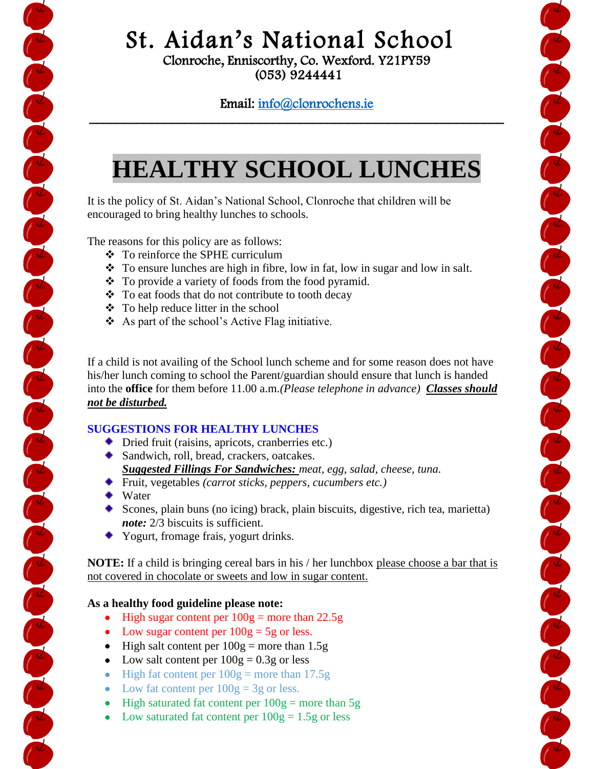# St. Aidan's National School

Clonroche, Enniscorthy, Co. Wexford. Y21PY59 (053) 9244441

### Email: [info@clonrochens.ie](mailto:info@clonrochens.ie)  \_\_\_\_\_\_\_\_\_\_\_\_\_\_\_\_\_\_\_\_\_\_\_\_\_\_\_\_\_\_\_\_\_\_\_\_\_\_\_\_\_\_\_\_\_\_\_\_\_\_\_\_\_\_\_\_\_\_\_\_\_

# **HEALTHY SCHOOL LUNCHES**

It is the policy of St. Aidan's National School, Clonroche that children will be encouraged to bring healthy lunches to schools.

The reasons for this policy are as follows:

- To reinforce the SPHE curriculum
- $\div$  To ensure lunches are high in fibre, low in fat, low in sugar and low in salt.
- $\bullet$  To provide a variety of foods from the food pyramid.
- $\triangle$  To eat foods that do not contribute to tooth decay
- $\div$  To help reduce litter in the school
- $\triangle$  As part of the school's Active Flag initiative.

If a child is not availing of the School lunch scheme and for some reason does not have his/her lunch coming to school the Parent/guardian should ensure that lunch is handed into the **office** for them before 11.00 a.m*.(Please telephone in advance) Classes should not be disturbed.*

### **SUGGESTIONS FOR HEALTHY LUNCHES**

- ◆ Dried fruit (raisins, apricots, cranberries etc.)
- ◆ Sandwich, roll, bread, crackers, oatcakes. *Suggested Fillings For Sandwiches: meat, egg, salad, cheese, tuna.*
- Fruit, vegetables *(carrot sticks, peppers, cucumbers etc.)*
- ◆ Water

en completed and completed and developed and completed

- Scones, plain buns (no icing) brack, plain biscuits, digestive, rich tea, marietta) *note:* 2/3 biscuits is sufficient.
- Yogurt, fromage frais, yogurt drinks.

**NOTE:** If a child is bringing cereal bars in his / her lunchbox please choose a bar that is not covered in chocolate or sweets and low in sugar content.

#### **As a healthy food guideline please note:**

- $\bullet$  High sugar content per  $100g$  = more than 22.5g
- Low sugar content per  $100g = 5g$  or less.
- $\bullet$  High salt content per  $100g$  = more than 1.5g
- Low salt content per  $100g = 0.3g$  or less
- $\bullet$  High fat content per  $100g$  = more than 17.5g
- Low fat content per  $100g = 3g$  or less.
- $\bullet$  High saturated fat content per  $100g$  = more than 5g
- Low saturated fat content per  $100g = 1.5g$  or less